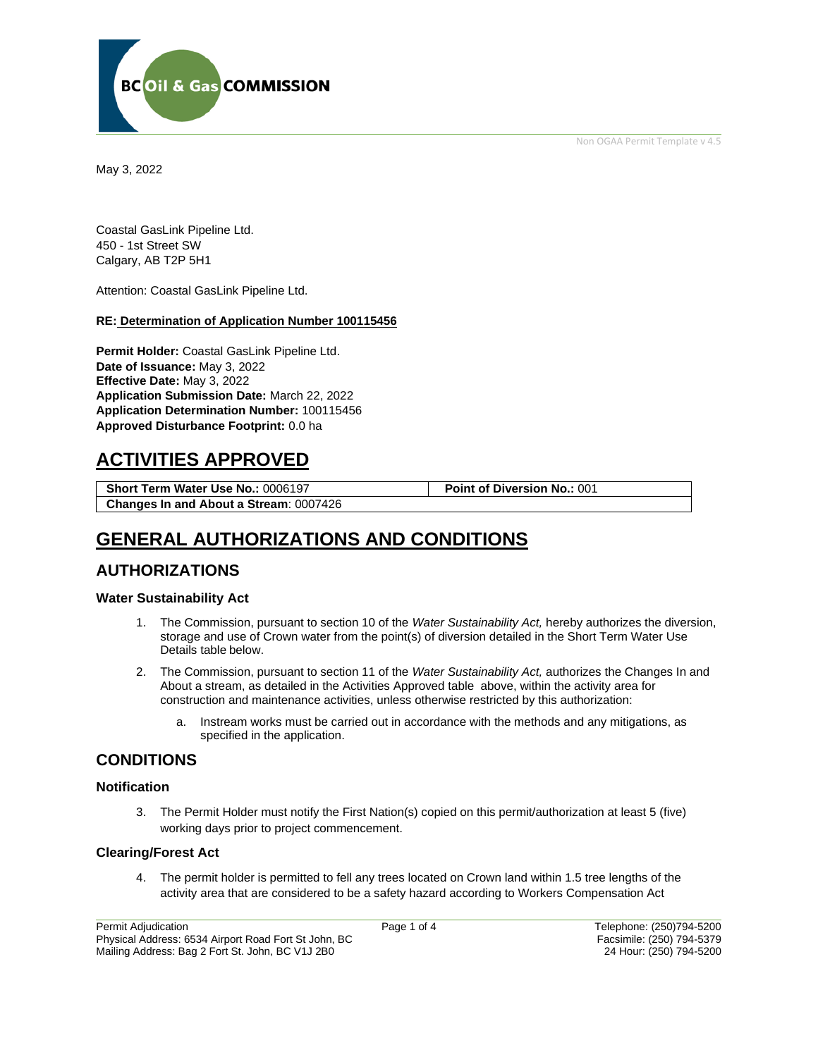Non OGAA Permit Template v 4.5



May 3, 2022

Coastal GasLink Pipeline Ltd. 450 - 1st Street SW Calgary, AB T2P 5H1

Attention: Coastal GasLink Pipeline Ltd.

#### **RE: Determination of Application Number 100115456**

**Permit Holder:** Coastal GasLink Pipeline Ltd. **Date of Issuance:** May 3, 2022 **Effective Date:** May 3, 2022 **Application Submission Date:** March 22, 2022 **Application Determination Number:** 100115456 **Approved Disturbance Footprint:** 0.0 ha

# **ACTIVITIES APPROVED**

**Short Term Water Use No.:** 0006197 **Point of Diversion No.:** 001 **Changes In and About a Stream**: 0007426

# **GENERAL AUTHORIZATIONS AND CONDITIONS**

## **AUTHORIZATIONS**

#### **Water Sustainability Act**

- 1. The Commission, pursuant to section 10 of the *Water Sustainability Act,* hereby authorizes the diversion, storage and use of Crown water from the point(s) of diversion detailed in the Short Term Water Use Details table below.
- 2. The Commission, pursuant to section 11 of the *Water Sustainability Act,* authorizes the Changes In and About a stream, as detailed in the Activities Approved table above, within the activity area for construction and maintenance activities, unless otherwise restricted by this authorization:
	- a. Instream works must be carried out in accordance with the methods and any mitigations, as specified in the application.

## **CONDITIONS**

#### **Notification**

3. The Permit Holder must notify the First Nation(s) copied on this permit/authorization at least 5 (five) working days prior to project commencement.

#### **Clearing/Forest Act**

4. The permit holder is permitted to fell any trees located on Crown land within 1.5 tree lengths of the activity area that are considered to be a safety hazard according to Workers Compensation Act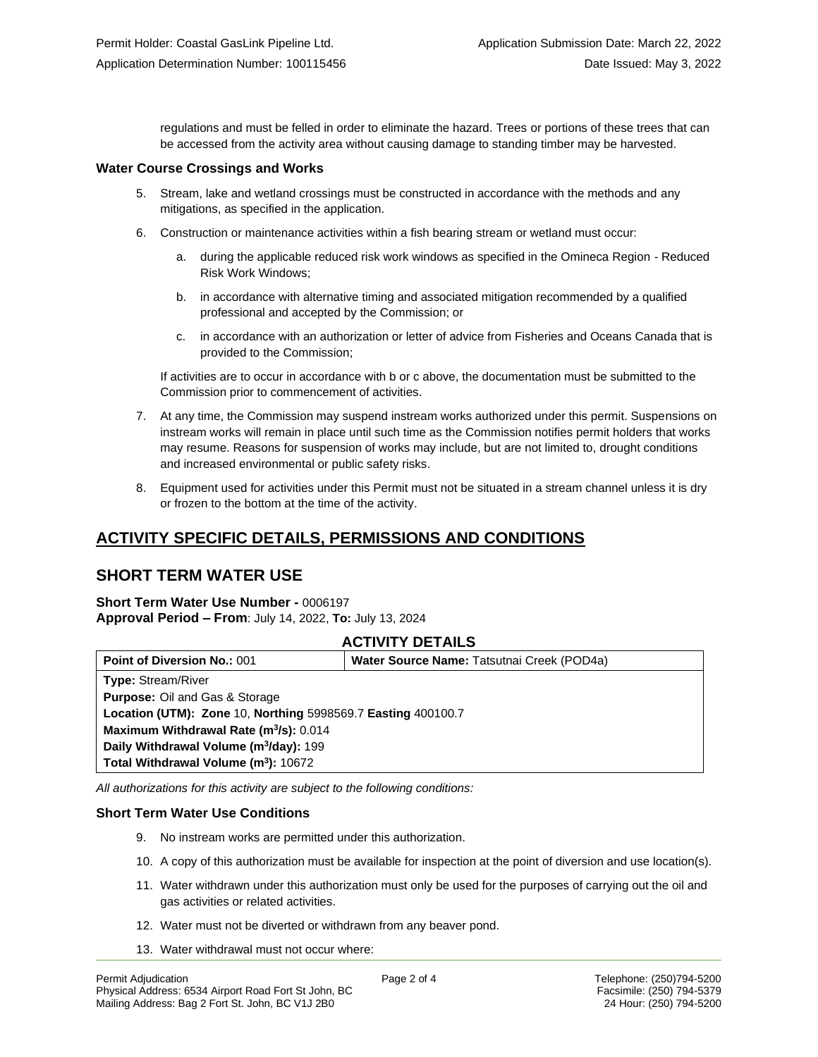regulations and must be felled in order to eliminate the hazard. Trees or portions of these trees that can be accessed from the activity area without causing damage to standing timber may be harvested.

#### **Water Course Crossings and Works**

- 5. Stream, lake and wetland crossings must be constructed in accordance with the methods and any mitigations, as specified in the application.
- 6. Construction or maintenance activities within a fish bearing stream or wetland must occur:
	- a. during the applicable reduced risk work windows as specified in the Omineca Region Reduced Risk Work Windows;
	- b. in accordance with alternative timing and associated mitigation recommended by a qualified professional and accepted by the Commission; or
	- c. in accordance with an authorization or letter of advice from Fisheries and Oceans Canada that is provided to the Commission;

If activities are to occur in accordance with b or c above, the documentation must be submitted to the Commission prior to commencement of activities.

- 7. At any time, the Commission may suspend instream works authorized under this permit. Suspensions on instream works will remain in place until such time as the Commission notifies permit holders that works may resume. Reasons for suspension of works may include, but are not limited to, drought conditions and increased environmental or public safety risks.
- 8. Equipment used for activities under this Permit must not be situated in a stream channel unless it is dry or frozen to the bottom at the time of the activity.

# **ACTIVITY SPECIFIC DETAILS, PERMISSIONS AND CONDITIONS**

## **SHORT TERM WATER USE**

**Short Term Water Use Number -** 0006197 **Approval Period – From**: July 14, 2022, **To:** July 13, 2024

### **ACTIVITY DETAILS**

| <b>Point of Diversion No.: 001</b>                           | Water Source Name: Tatsutnai Creek (POD4a) |
|--------------------------------------------------------------|--------------------------------------------|
| <b>Type: Stream/River</b>                                    |                                            |
| <b>Purpose: Oil and Gas &amp; Storage</b>                    |                                            |
| Location (UTM): Zone 10, Northing 5998569.7 Easting 400100.7 |                                            |
| Maximum Withdrawal Rate (m <sup>3</sup> /s): 0.014           |                                            |
| Daily Withdrawal Volume (m <sup>3</sup> /day): 199           |                                            |
| Total Withdrawal Volume (m <sup>3</sup> ): 10672             |                                            |

*All authorizations for this activity are subject to the following conditions:*

#### **Short Term Water Use Conditions**

- 9. No instream works are permitted under this authorization.
- 10. A copy of this authorization must be available for inspection at the point of diversion and use location(s).
- 11. Water withdrawn under this authorization must only be used for the purposes of carrying out the oil and gas activities or related activities.
- 12. Water must not be diverted or withdrawn from any beaver pond.
- 13. Water withdrawal must not occur where: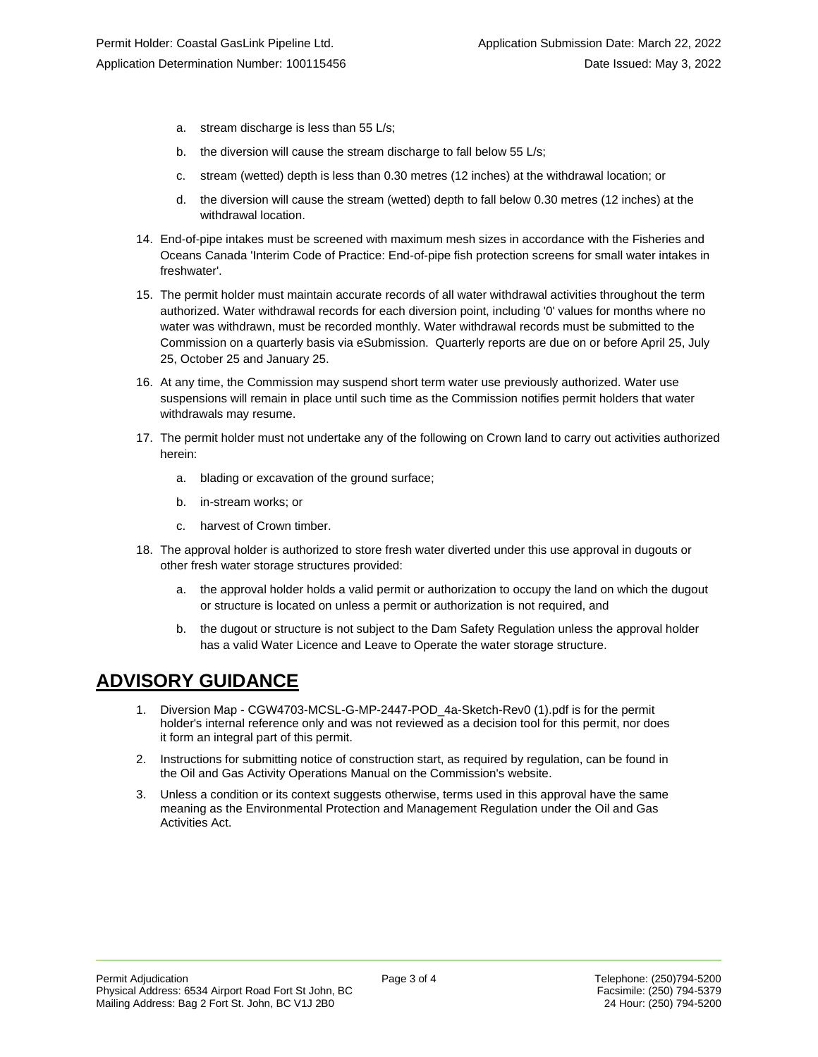- a. stream discharge is less than 55 L/s;
- b. the diversion will cause the stream discharge to fall below 55 L/s;
- c. stream (wetted) depth is less than 0.30 metres (12 inches) at the withdrawal location; or
- d. the diversion will cause the stream (wetted) depth to fall below 0.30 metres (12 inches) at the withdrawal location.
- 14. End-of-pipe intakes must be screened with maximum mesh sizes in accordance with the Fisheries and Oceans Canada 'Interim Code of Practice: End-of-pipe fish protection screens for small water intakes in freshwater'.
- 15. The permit holder must maintain accurate records of all water withdrawal activities throughout the term authorized. Water withdrawal records for each diversion point, including '0' values for months where no water was withdrawn, must be recorded monthly. Water withdrawal records must be submitted to the Commission on a quarterly basis via eSubmission. Quarterly reports are due on or before April 25, July 25, October 25 and January 25.
- 16. At any time, the Commission may suspend short term water use previously authorized. Water use suspensions will remain in place until such time as the Commission notifies permit holders that water withdrawals may resume.
- 17. The permit holder must not undertake any of the following on Crown land to carry out activities authorized herein:
	- a. blading or excavation of the ground surface;
	- b. in-stream works; or
	- c. harvest of Crown timber.
- 18. The approval holder is authorized to store fresh water diverted under this use approval in dugouts or other fresh water storage structures provided:
	- a. the approval holder holds a valid permit or authorization to occupy the land on which the dugout or structure is located on unless a permit or authorization is not required, and
	- b. the dugout or structure is not subject to the Dam Safety Regulation unless the approval holder has a valid Water Licence and Leave to Operate the water storage structure.

# **ADVISORY GUIDANCE**

- 1. Diversion Map CGW4703-MCSL-G-MP-2447-POD\_4a-Sketch-Rev0 (1).pdf is for the permit holder's internal reference only and was not reviewed as a decision tool for this permit, nor does it form an integral part of this permit.
- 2. Instructions for submitting notice of construction start, as required by regulation, can be found in the Oil and Gas Activity Operations Manual on the Commission's website.
- 3. Unless a condition or its context suggests otherwise, terms used in this approval have the same meaning as the Environmental Protection and Management Regulation under the Oil and Gas Activities Act.